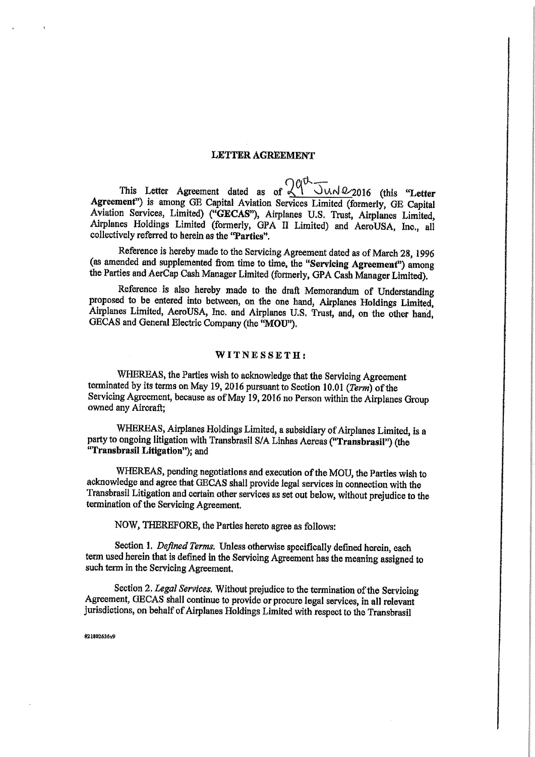#### LETTER AGREEMENT

' fib ~— This Letter Agreement dated as of  $\leq 1$   $\cup \wedge \wedge \sqrt{2016}$  (this "Letter" Agreement") is among GE Capital Aviation Services Limited (formerly, GE Capital <sup>A</sup>viation Services, Limited) ("GECAS"), Airplanes U.S. Trust, Airplanes Limited, <sup>A</sup>irplanes Holdings Limited (formerly, GPA IT Limited) and AeroUSA, Inc,, all <sup>c</sup>ollectively referred to herein as the "Parties".

Reference is hereby made to the Servicing Agreement dated as of March 28, 1996 (as amended and supplemented from time to time, the "Servicing Agreement") among the Parties and AerCap Cash Manager Limited (formerly, GPA Cash Manager Limited).

<sup>R</sup>eference is also hereby made to the draft Memorandum of Understanding proposed to be entered into between, on the one hand, Airplanes Holdings Limited, Airplanes Limited, AeroUSA, Inc. and Airplanes U.S. Trust, and, on the other hand, GECAS and General Electric Company (the "MOU").

#### WITNESSETH;

WHEREAS, the Parties wish to acknowledge that the Servicing Agreement <sup>t</sup>erminated by its terms on May 19, 2016 pursuant to Section 10.01 (Term) of the Servicing Agreement, because as of May 19, 2016 no Person within the Airplanes Group owned any Aircraft;

WHEREAS, Airplanes Holdings Limited, a subsidiary of Airplanes Limited, is a party to ongoing litigation with Transbrasil S/A Linhas Aereas ("Transbrasil") (the "TransbrasiI Litigation"); and

WHEREAS, pending negotiations and execution of the MOU, the Parties wish to <sup>a</sup>cknowledge and agree that GECAS shall provide legal services in connection. with the <sup>T</sup>ransbrasil Litigation and pertain other services as set out below, without prejudice to the termination of the Servicing Agreement.

NOW, THEREFORE, the Parties hereto agree as follows:

Section 1. Defined Terms. Unless otherwise specifically defined herein, each term used herein that is defined in the Servicing Agreement has the meaning assigned to such term in the Servicing Agreement.

Section 2. Legal Services. Without prejudice to the termination of the Servicing Agreement, GECAS shall continue to provide or procure legal services, in all relevant jurisdictions, on behalf of Airplanes Holdings Limited with respect to the Transbrasil

#21802636v9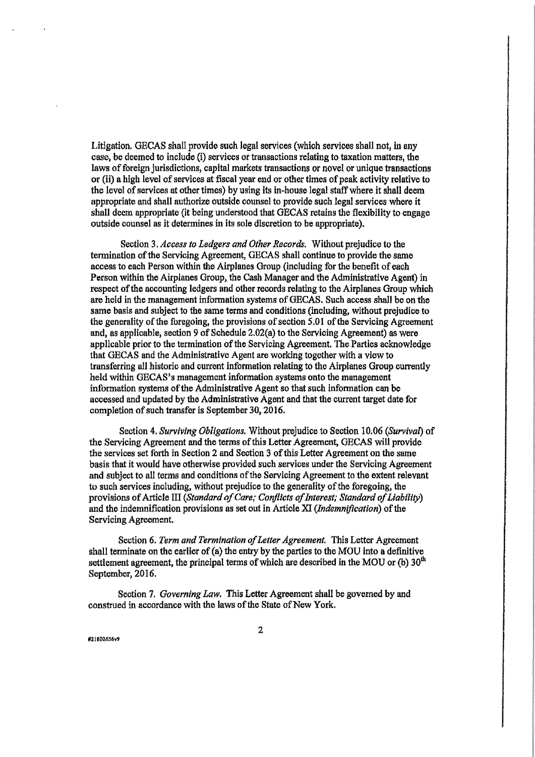Litigation. GECAS shall provide such legal services (which services shall not, in any case, be deemed to include (i) services or transactions xelating to taxation matters, the laws of foreign jurisdictions, capital markets transactions or novel or unique transactions or (ii) a high level of services at fiscal year end or other times of peak activity relative to the level of services at other times) by using its in-house legal staff where it shall deem appropriate and shall authorize outside counsel to provide such legal services where it shall deem appropriate {it being understood that GECAS retains the flexibility to engage outside counsel as it determines in its sole discretion to be appropriate).

Section 3. Access to Ledgers and Other Records. Without prejudice to the termination of the Servicing Agreement, GECAS shall continue to provide the same access to each Person within the Airplanes Group (including for the benefit of each Person within the Airplanes Group, the Cash Manager and the Administrative Agent) in respect of the accounting ledgers and other records relating to the Airplanes Group which are held in the management information systems of GECAS. Such access shall be on the same basis and subject to the same terms and conditions (including, without prejudice to the generality of the foregoing, the provisions of section  $5.01$  of the Servicing Agreement and, as applicable, section 9 of Schedule 2.02{a} to the Servicing Agreement) as ware applicable prior to the termination of the Servicing Agreement. The Parties acknowledge that GECAS and the Administrative Agent are working together with a view to transferring all historic and current information relating to the Airplanes Group currently held within GECAS's management information systems onto the management information systems of the Administrative Agent so that such information can be accessed and updated by the Administrative Agent and that the current target date for completion of such transfer is September 30, 2016.

Section 4. Surviving Obligations. Without prejudice to Section 10.06 (Survival) of the Servicing Agreement and the terms of this Letter Agreement, GECAS will provide the services set forth in Section 2 and Section 3 of this Letter Agreement on the same basis that it would have otherwise provided such services under the Servicing Agreement and subject to all terms and conditions of the Servicing Agreement to the extent relevant to such services including, without prejudice to the generality of the foregoing, the provisions of Article III (Standard of Care; Conflicts of Interest; Standard of Liability) and the indemnification provisions as set out in Article  $XI$  (*Indemnification*) of the Servicing Agreement.

Section 6. Term and Termination of Letter Agreement. This Letter Agreement shall terminate on the earlier of  $(a)$  the entry by the parties to the MOU into a definitive settlement agreement, the principal terms of which are described in the MOU or (b)  $30<sup>th</sup>$ September, 2016.

Section 7. Governing Law. This Letter Agreement shall be governed by and construed in accordance with the laws of the State of New York.

#21802636y9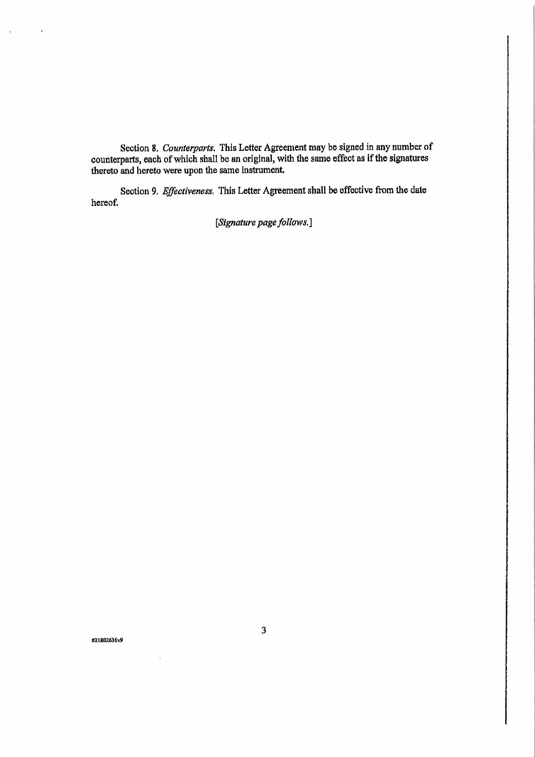Section 8. Counterparts. This Letter Agreement may be signed in any number of counterparts, each of which shall be an original, with the same effect as if the signatures thereto and hereto were upon the same instrument.

Section 9. Effectiveness. This Letter Agreement shall be effective from the date hereof.

[Signature page follows.]

#218o2636v9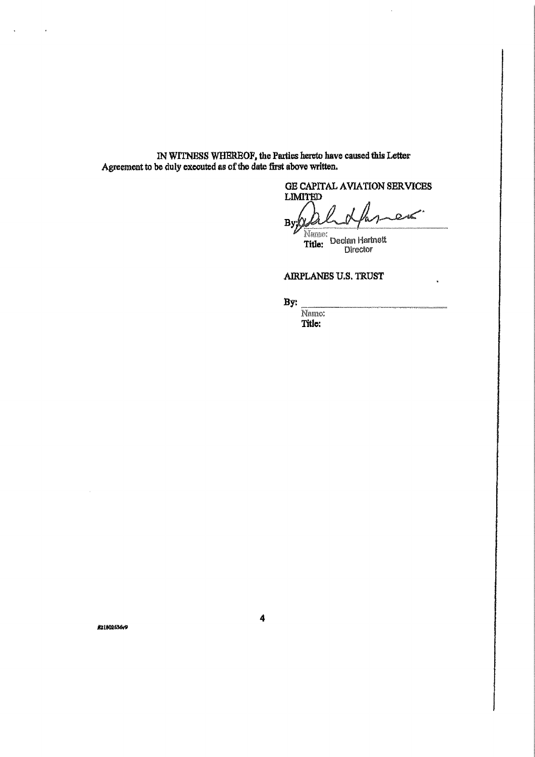IN WITNESS WHEREOF, the Parties hereto have caused this Letter<br>Agreement to be duly executed as of the date first above written.

GE CAPITAL AVIATION SERVICES

**LIMITED**  $By$ 

Name: Title: Declan Hartnett

AIRPLANBS U.S. TRUST

By:

Name: Title:

KZ1802636v9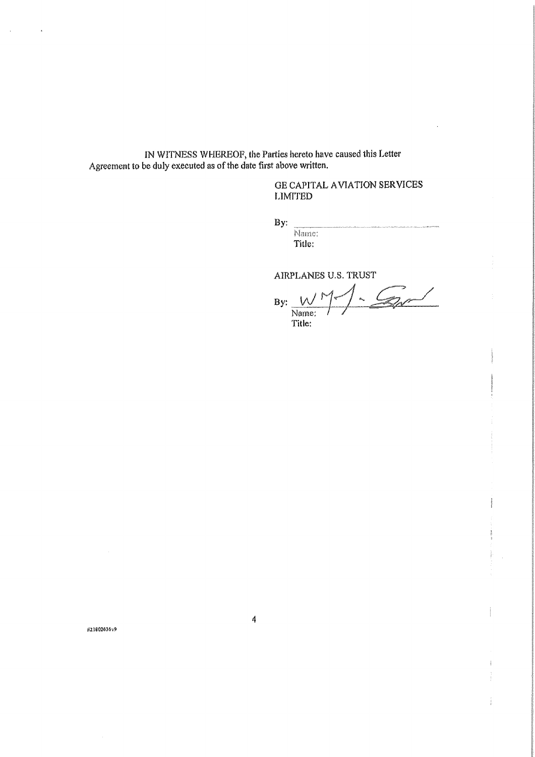IN WITNESS WHEREOF, the Parties hereto have caused this Letter<br>Agreement to be duly executed as of the date first above written.

## **GE CAPITAL AVIATION SERVICES LIMITED**

By:

Name: Title:

AIRPLANES U.S. TRUST

 $-60$  $\mathcal{L}$  $By:$ W Name:<br>Title:

#21802636v9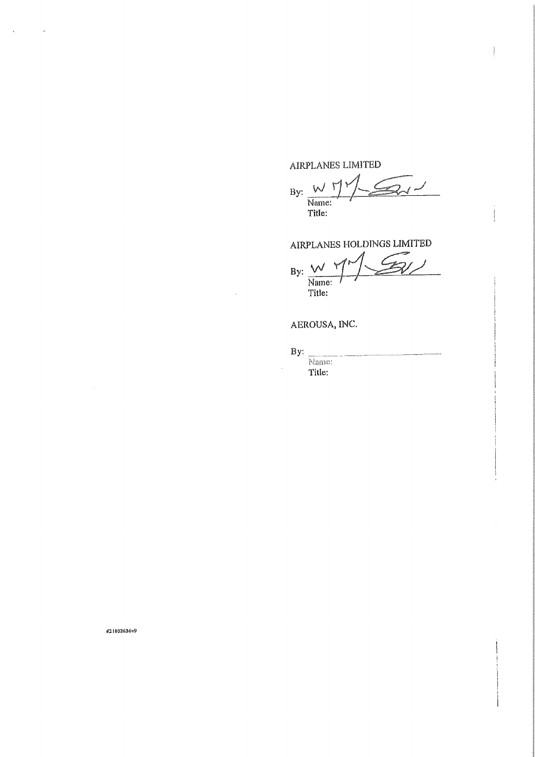# AIRPLANES LIMITED

 $\mathbb{Z}_{d}$  $\vee$  $By:$ Name:<br>Title:

AIRPLANES HOLDINGS LIMITED

 $\mathcal{L}$  $By:$ Name:<br>Title:

AEROUSA, INC.

By: Name: Title:

#21802636v9